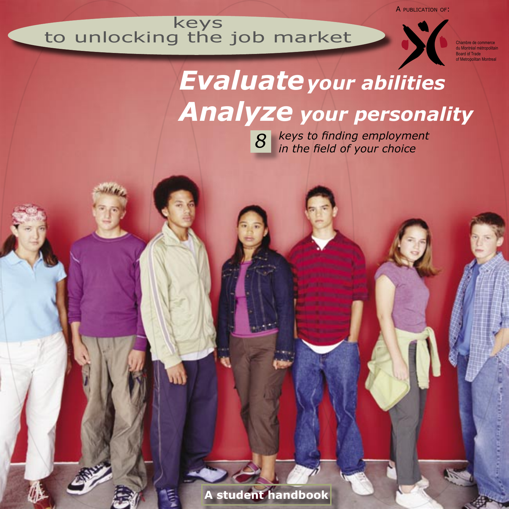A PUBLICATION OF:

## keys to unlocking the job market



Chambre de commerce du Montréal métropolitain Board of Trade of Metropolitan Montreal

## *Evaluateyour abilities Analyze your personality*

*keys to finding employment in the field of your choice 8*

**A student handbook**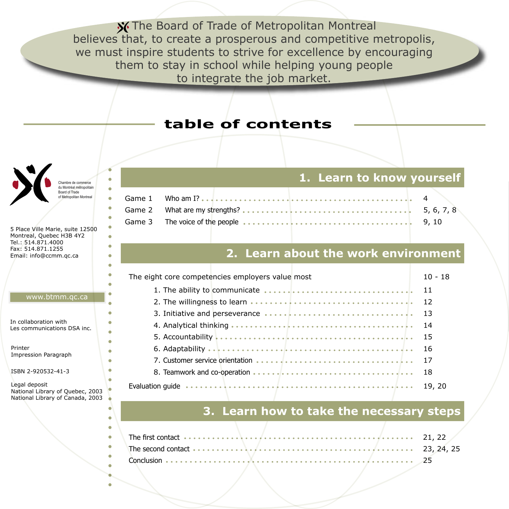**X** The Board of Trade of Metropolitan Montreal believes that, to create a prosperous and competitive metropolis, we must inspire students to strive for excellence by encouraging them to stay in school while helping young people to integrate the job market.

## **table of contents**



5 Place Ville Marie, suite 12500 Montreal, Quebec H3B 4Y2 Tel.: 514.871.4000 Fax: 514.871.1255 Email: info@ccmm.qc.ca

#### www.btmm.qc.ca

In collaboration with Les communications DSA inc.

Printer Impression Paragraph

ISBN 2-920532-41-3

Legal deposit National Library of Quebec, 2003 National Library of Canada, 2003

#### **1. Learn to know yourself**

| Game 3 The voice of the people <b>expressed as a serie construction</b> because the series of the 9,10 |  |
|--------------------------------------------------------------------------------------------------------|--|

#### **2. Learn about the work environment**

| The eight core competencies employers value most                                                                                                                                                                                     | 10 - 18 |
|--------------------------------------------------------------------------------------------------------------------------------------------------------------------------------------------------------------------------------------|---------|
| 1. The ability to communicate <b>expresses as a conservation</b> by the series of the series of the series of the series of the series of the series of the series of the series of the series of the series of the series of the s  |         |
| 2. The willingness to learn <del>express to the express to the extendion</del> 12                                                                                                                                                    |         |
| 3. Initiative and perseverance expresses as a second contractor of the 13                                                                                                                                                            |         |
|                                                                                                                                                                                                                                      | -14     |
| 5. Accountability <b>Express Constitution</b> Contains and Constitution Constitution Constitution Constitution Constitution Constitution Constitution Constitution Constitution Constitution Constitution Constitution Constitution  |         |
|                                                                                                                                                                                                                                      | 16      |
| 7. Customer service orientation <b>express to example and contact the contact of the contact of the contact of the contact of the contact of the contact of the contact of the contact of the contact of the contact of the cont</b> | 17      |
| 8. Teamwork and co-operation <del>express as a server as a server server and c</del>                                                                                                                                                 | 18      |
| Evaluation guide <del>expressed expresses and express expresses a construction</del>                                                                                                                                                 | 19, 20  |

### **3. Learn how to take the necessary steps**

| The first contact <del>experience is a series experience of a series of a series</del>                                                    | 21, 22 |
|-------------------------------------------------------------------------------------------------------------------------------------------|--------|
| The second contact $\cdots$ $\cdots$ $\cdots$ $\cdots$ $\cdots$ $\cdots$ $\cdots$ $\cdots$ $\cdots$ $\cdots$ $\cdots$ $\cdots$ 23, 24, 25 |        |
|                                                                                                                                           | 25     |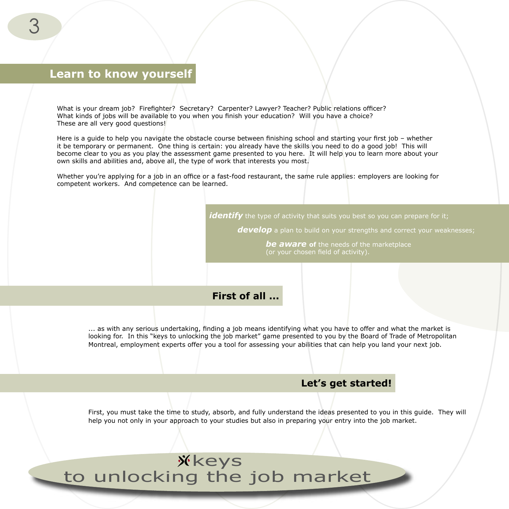#### **Learn to know yourself**

What is your dream job? Firefighter? Secretary? Carpenter? Lawyer? Teacher? Public relations officer? What kinds of jobs will be available to you when you finish your education? Will you have a choice? These are all very good questions!

Here is a guide to help you navigate the obstacle course between finishing school and starting your first job – whether it be temporary or permanent. One thing is certain: you already have the skills you need to do a good job! This will become clear to you as you play the assessment game presented to you here. It will help you to learn more about your own skills and abilities and, above all, the type of work that interests you most.

Whether you're applying for a job in an office or a fast-food restaurant, the same rule applies: employers are looking for competent workers. And competence can be learned.

*identify* the type of activity that suits you best so you can prepare for it;

**develop** a plan to build on your strengths and correct your weaknesses;

*be aware* **of** the needs of the marketplace (or your chosen field of activity).

**First of all ...**

... as with any serious undertaking, finding a job means identifying what you have to offer and what the market is looking for. In this "keys to unlocking the job market" game presented to you by the Board of Trade of Metropolitan Montreal, employment experts offer you a tool for assessing your abilities that can help you land your next job.

#### **Let's get started!**

First, you must take the time to study, absorb, and fully understand the ideas presented to you in this guide. They will help you not only in your approach to your studies but also in preparing your entry into the job market.

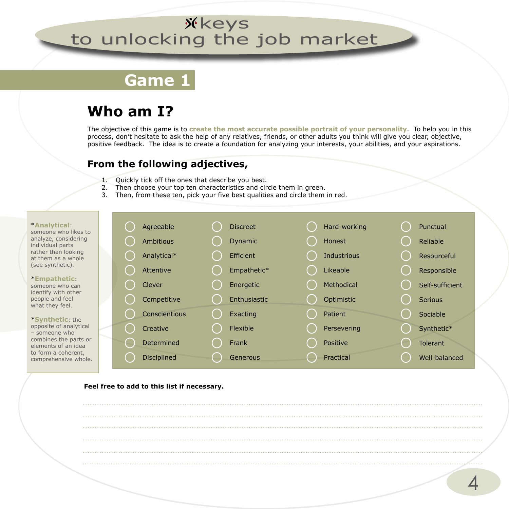## **Game 1**

## **Who am I?**

The objective of this game is to **create the most accurate possible portrait of your personality**. To help you in this process, don't hesitate to ask the help of any relatives, friends, or other adults you think will give you clear, objective, positive feedback. The idea is to create a foundation for analyzing your interests, your abilities, and your aspirations.

#### **From the following adjectives,**

- 1. Quickly tick off the ones that describe you best.
- 2. Then choose your top ten characteristics and circle them in green.
- 3. Then, from these ten, pick your five best qualities and circle them in red.

#### \***Analytical**:

someone who likes to analyze, considering individual parts rather than looking at them as a whole (see synthetic).

#### \***Empathetic**: someone who can identify with other people and feel

what they feel. \***Synthetic**: the opposite of analytical – someone who combines the parts or elements of an idea

to form a coherent, comprehensive whole.

|  | Agreeable          | <b>Discreet</b> | Hard-working  | Punctual        |
|--|--------------------|-----------------|---------------|-----------------|
|  | <b>Ambitious</b>   | <b>Dynamic</b>  | <b>Honest</b> | Reliable        |
|  | Analytical*        | Efficient       | Industrious   | Resourceful     |
|  | Attentive          | Empathetic*     | Likeable      | Responsible     |
|  | Clever             | Energetic       | Methodical    | Self-sufficient |
|  | Competitive        | Enthusiastic    | Optimistic    | Serious         |
|  | Conscientious      | Exacting        | Patient       | Sociable        |
|  | Creative           | Flexible        | Persevering   | Synthetic*      |
|  | Determined         | Frank           | Positive      | <b>Tolerant</b> |
|  | <b>Disciplined</b> | Generous        | Practical     | Well-balanced   |

#### **Feel free to add to this list if necessary.**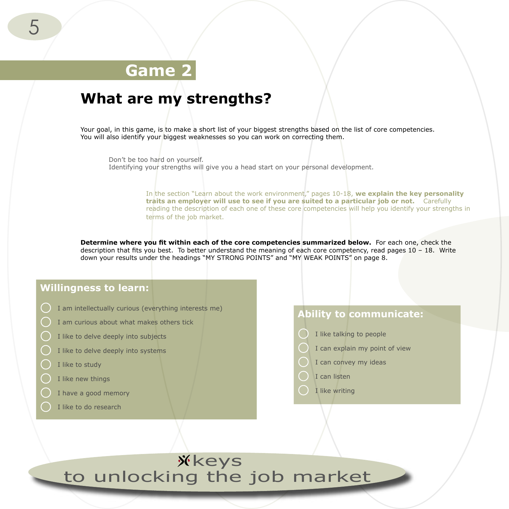## **Game 2**

## **What are my strengths?**

Your goal, in this game, is to make a short list of your biggest strengths based on the list of core competencies. You will also identify your biggest weaknesses so you can work on correcting them.

Don't be too hard on yourself. Identifying your strengths will give you a head start on your personal development.

> In the section "Learn about the work environment," pages 10-18, **we explain the key personality traits an employer will use to see if you are suited to a particular job or not.** Carefully reading the description of each one of these core competencies will help you identify your strengths in terms of the job market.

**Determine where you fit within each of the core competencies summarized below.** For each one, check the description that fits you best. To better understand the meaning of each core competency, read pages 10 – 18. Write down your results under the headings "MY STRONG POINTS" and "MY WEAK POINTS" on page 8.

#### **Willingness to learn:**

- I am intellectually curious (everything interests me)
- I am curious about what makes others tick
- I like to delve deeply into subjects
- I like to delve deeply into systems
- I like to study
- I like new things
- I have a good memory
- I like to do research

#### **Ability to communicate:**

- I like talking to people
- I can explain my point of view
- I can convey my ideas
- I can listen
- I like writing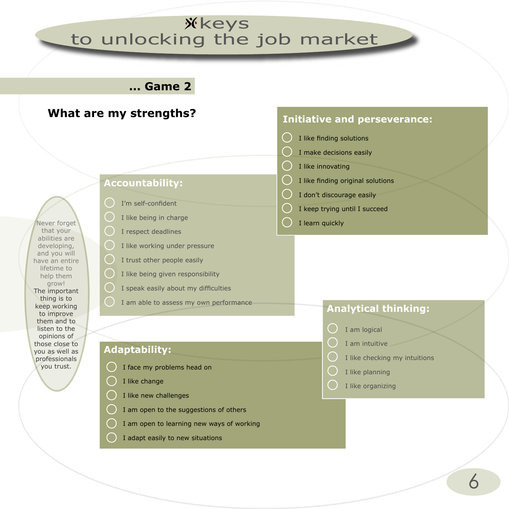**... Game 2**

#### **What are my strengths? Initiative and perseverance:** I like finding solutions I make decisions easily I like innovating I like finding original solutions **Accountability:** I don't discourage easily I'm self-confident I keep trying until I succeed I like being in charge I learn quickly Never forget I respect deadlines that your abilities are I like working under pressure developing, and you will I trust other people easily have an entire lifetime to I like being given responsibility help them grow! I speak easily about my difficulties The important thing is to I am able to assess my own performance keep working **Analytical thinking:** to improve them and to listen to the I am logical opinions of I am intuitive those close to **Adaptability:** you as well as I like checking my intuitions professionals you trust.I face my problems head on I like planning I like change I like organizing I like new challenges I am open to the suggestions of others I am open to learning new ways of working I adapt easily to new situations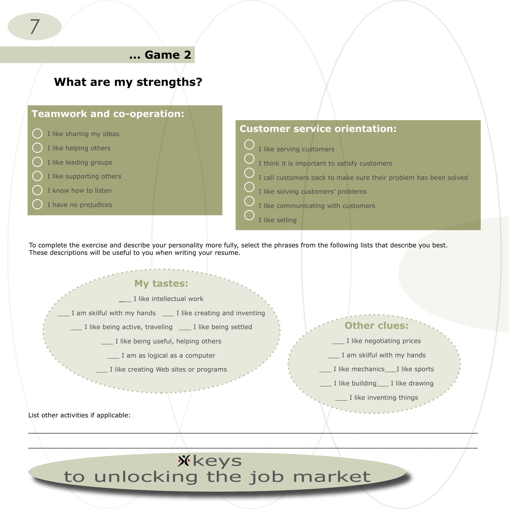

To complete the exercise and describe your personality more fully, select the phrases from the following lists that describe you best. These descriptions will be useful to you when writing your resume.

#### **My tastes:**

**\_**\_\_ I like intellectual work

I am skilful with my hands I like creating and inventing

I like being active, traveling I like being settled

- I like being useful, helping others
	- \_\_\_ I am as logical as a computer
	- I like creating Web sites or programs

List other activities if applicable:

## **Other clues:**

- \_\_\_ I like negotiating prices
- \_\_\_ I am skilful with my hands
- \_\_\_ I like mechanics\_\_\_I like sports
- \_\_\_ I like building\_\_\_ I like drawing

\_\_\_ I like inventing things

**Xkeys** to unlocking the job market

 $\lambda$  and the contract of  $\lambda$  and  $\lambda$  and  $\lambda$  and  $\lambda$  and  $\lambda$  and  $\lambda$  and  $\lambda$  and  $\lambda$  and  $\lambda$  and  $\lambda$  and  $\lambda$  and  $\lambda$  and  $\lambda$  and  $\lambda$  and  $\lambda$  and  $\lambda$  and  $\lambda$  and  $\lambda$  and  $\lambda$  and  $\lambda$  and  $\lambda$  and  $\lambda$  an  $\overline{\phantom{a}}$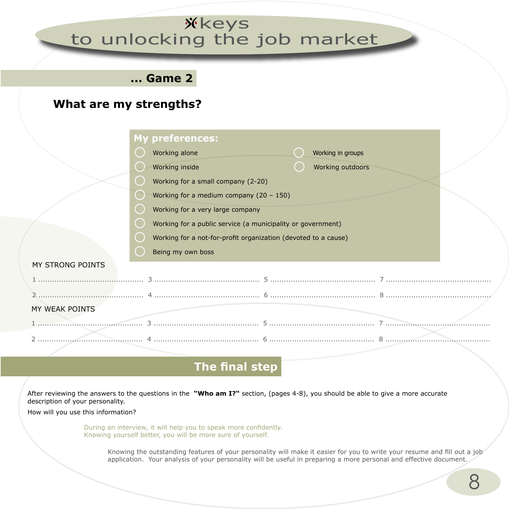## **... Game 2**

## **What are my strengths?**

|                                           | <b>My preferences:</b>                                         |  |  |  |  |  |  |
|-------------------------------------------|----------------------------------------------------------------|--|--|--|--|--|--|
|                                           | Working alone<br>Working in groups                             |  |  |  |  |  |  |
|                                           | Working inside<br>Working outdoors                             |  |  |  |  |  |  |
|                                           | Working for a small company (2-20)                             |  |  |  |  |  |  |
| Working for a medium company $(20 - 150)$ |                                                                |  |  |  |  |  |  |
|                                           | Working for a very large company                               |  |  |  |  |  |  |
|                                           | Working for a public service (a municipality or government)    |  |  |  |  |  |  |
|                                           | Working for a not-for-profit organization (devoted to a cause) |  |  |  |  |  |  |
|                                           | Being my own boss                                              |  |  |  |  |  |  |
| MY STRONG POINTS                          |                                                                |  |  |  |  |  |  |
|                                           |                                                                |  |  |  |  |  |  |
|                                           |                                                                |  |  |  |  |  |  |
| MY WEAK POINTS                            |                                                                |  |  |  |  |  |  |
|                                           |                                                                |  |  |  |  |  |  |
| .                                         |                                                                |  |  |  |  |  |  |

## **The final step**

After reviewing the answers to the questions in the **"Who am I?"** section, (pages 4-8), you should be able to give a more accurate description of your personality.

How will you use this information?

During an interview, it will help you to speak more confidently. Knowing yourself better, you will be more sure of yourself.

> Knowing the outstanding features of your personality will make it easier for you to write your resume and fill out a job application. Your analysis of your personality will be useful in preparing a more personal and effective document.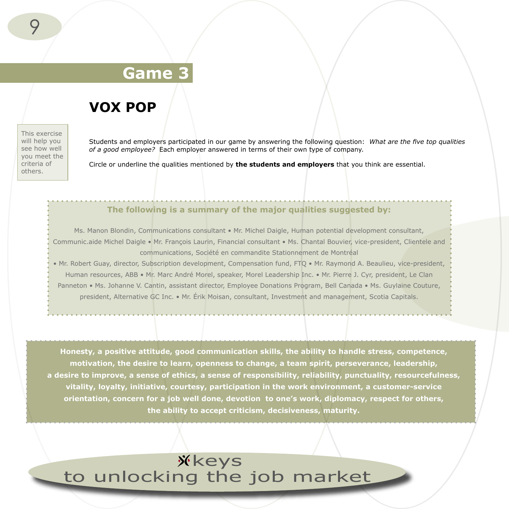## **Game 3**

## **VOX POP**

This exercise will help you see how well you meet the criteria of others.

Students and employers participated in our game by answering the following question: *What are the five top qualities of a good employee?* Each employer answered in terms of their own type of company.

Circle or underline the qualities mentioned by **the students and employers** that you think are essential.

#### **The following is a summary of the major qualities suggested by:**

Ms. Manon Blondin, Communications consultant • Mr. Michel Daigle, Human potential development consultant, Communic.aide Michel Daigle • Mr. François Laurin, Financial consultant • Ms. Chantal Bouvier, vice-president, Clientele and communications, Société en commandite Stationnement de Montréal

• Mr. Robert Guay, director, Subscription development, Compensation fund, FTQ • Mr. Raymond A. Beaulieu, vice-president, Human resources, ABB • Mr. Marc André Morel, speaker, Morel Leadership Inc. • Mr. Pierre J. Cyr, president, Le Clan Panneton • Ms. Johanne V. Cantin, assistant director, Employee Donations Program, Bell Canada • Ms. Guylaine Couture, president, Alternative GC Inc. • Mr. Érik Moisan, consultant, Investment and management, Scotia Capitals.

**Honesty, a positive attitude, good communication skills, the ability to handle stress, competence, motivation, the desire to learn, openness to change, a team spirit, perseverance, leadership, a desire to improve, a sense of ethics, a sense of responsibility, reliability, punctuality, resourcefulness, vitality, loyalty, initiative, courtesy, participation in the work environment, a customer-service orientation, concern for a job well done, devotion to one's work, diplomacy, respect for others, the ability to accept criticism, decisiveness, maturity.**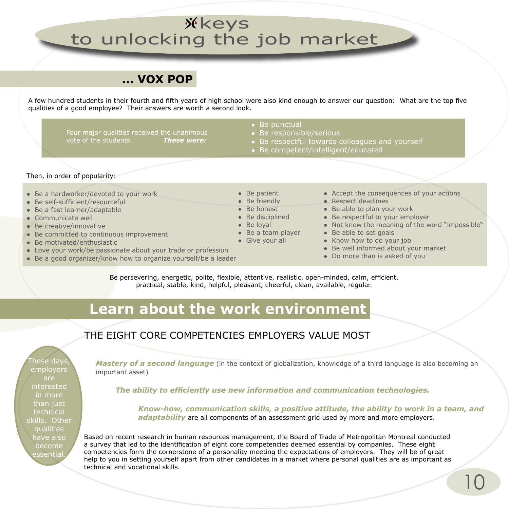## **... VOX POP**

A few hundred students in their fourth and fifth years of high school were also kind enough to answer our question: What are the top five qualities of a good employee? Their answers are worth a second look.

Four major qualities received the unanimous vote of the students. *These were:*

- Be punctual
- Be responsible/serious
- Be respectful towards colleagues and yourself
- Be competent/intelligent/educated

#### Then, in order of popularity:

- Be a hardworker/devoted to your work
- Be self-sufficient/resourceful
- Be a fast learner/adaptable
- Communicate well
- Be creative/innovative
- Be committed to continuous improvement
- Be motivated/enthusiastic
- Love your work/be passionate about your trade or profession
- Be a good organizer/know how to organize yourself/be a leader
- Accept the consequences of your actions
- Respect deadlines
- Be able to plan your work
- Be respectful to your employer
- Not know the meaning of the word "impossible"
- Be able to set goals
- Know how to do your job
- Be well informed about your market
- Do more than is asked of you

Be persevering, energetic, polite, flexible, attentive, realistic, open-minded, calm, efficient, practical, stable, kind, helpful, pleasant, cheerful, clean, available, regular.

● Be patient • Be friendly ● Be honest  $\bullet$  Be disciplined ● Be loyal

● Be a team player • Give your all

## **Learn about the work environment**

#### THE EIGHT CORE COMPETENCIES EMPLOYERS VALUE MOST

These days, employers are interested in more than just technical skills. Other qualities have also become essential.

*Mastery of a second language* (in the context of globalization, knowledge of a third language is also becoming an important asset)

*The ability to efficiently use new information and communication technologies.*

*Know-how, communication skills, a positive attitude, the ability to work in a team, and adaptability* are all components of an assessment grid used by more and more employers.

Based on recent research in human resources management, the Board of Trade of Metropolitan Montreal conducted a survey that led to the identification of eight core competencies deemed essential by companies. These eight competencies form the cornerstone of a personality meeting the expectations of employers. They will be of great help to you in setting yourself apart from other candidates in a market where personal qualities are as important as technical and vocational skills.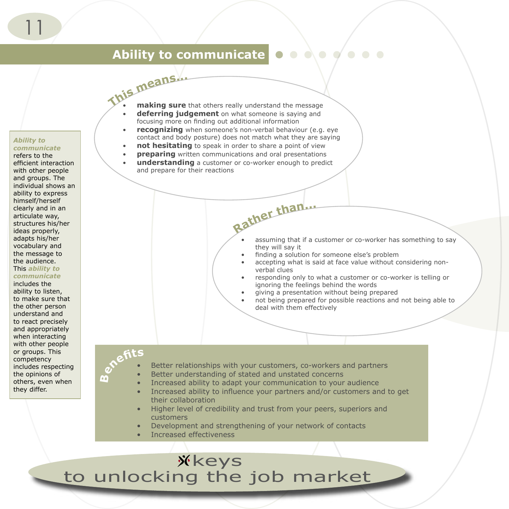## **Ability to communicate**

*Ability to communicate*

refers to the efficient interaction with other people and groups. The individual shows an ability to express himself/herself clearly and in an articulate way, structures his/her ideas properly, adapts his/her vocabulary and the message to the audience. This *ability to* 

#### *communicate*

includes the ability to listen, to make sure that the other person understand and to react precisely and appropriately when interacting with other people or groups. This competency includes respecting the opinions of others, even when they differ.

- **<sup>T</sup>hi<sup>s</sup> <sup>m</sup>eans... making sure** that others really understand the message
	- **deferring judgement** on what someone is saying and focusing more on finding out additional information
	- **recognizing** when someone's non-verbal behaviour (e.g. eye contact and body posture) does not match what they are saying
	- **not hesitating** to speak in order to share a point of view
	- **preparing** written communications and oral presentations
	- **understanding** a customer or co-worker enough to predict and prepare for their reactions

- assuming that if a customer or co-worker has something to say they will say it
- finding a solution for someone else's problem
- accepting what is said at face value without considering nonverbal clues
- responding only to what a customer or co-worker is telling or ignoring the feelings behind the words
- giving a presentation without being prepared
- not being prepared for possible reactions and not being able to deal with them effectively

## **Benefit<sup>s</sup>**

- Better relationships with your customers, co-workers and partners
- Better understanding of stated and unstated concerns
- Increased ability to adapt your communication to your audience
- Increased ability to influence your partners and/or customers and to get their collaboration

**Rathe<sup>r</sup> <sup>t</sup>han...**

- Higher level of credibility and trust from your peers, superiors and customers
- Development and strengthening of your network of contacts
- Increased effectiveness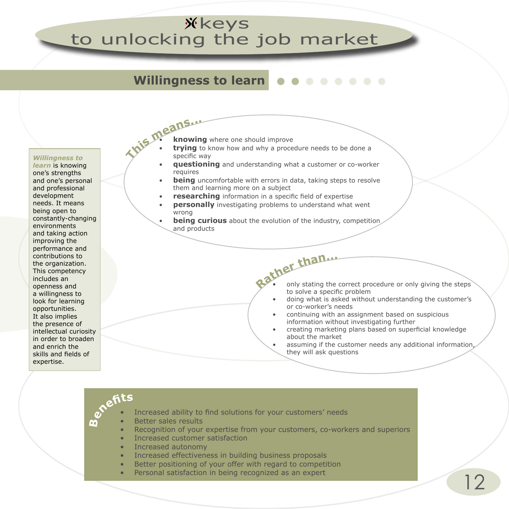## **Willingness to learn**

*Willingness to learn* is knowing one's strengths and one's personal and professional development needs. It means being open to constantly-changing environments and taking action improving the performance and contributions to the organization. This competency includes an openness and a willingness to look for learning opportunities. It also implies the presence of intellectual curiosity in order to broaden and enrich the skills and fields of expertise.

- **knowing** where one should improve
- **Thi<sup>s</sup> <sup>m</sup>eans...** • **trying** to know how and why a procedure needs to be done a specific way
	- **questioning** and understanding what a customer or co-worker requires
	- **being** uncomfortable with errors in data, taking steps to resolve them and learning more on a subject
	- **researching** information in a specific field of expertise
	- **personally** investigating problems to understand what went wrong
	- **being curious** about the evolution of the industry, competition and products
		- **Rathe<sup>r</sup> <sup>t</sup>han...** only stating the correct procedure or only giving the steps to solve a specific problem
			- doing what is asked without understanding the customer's or co-worker's needs
			- continuing with an assignment based on suspicious information without investigating further
			- creating marketing plans based on superficial knowledge about the market
			- assuming if the customer needs any additional information, they will ask questions

#### **Benefit<sup>s</sup>** Increased ability to find solutions for your customers' needs • Better sales results • Recognition of your expertise from your customers, co-workers and superiors • Increased customer satisfaction • Increased autonomy • Increased effectiveness in building business proposals Better positioning of your offer with regard to competition

Personal satisfaction in being recognized as an expert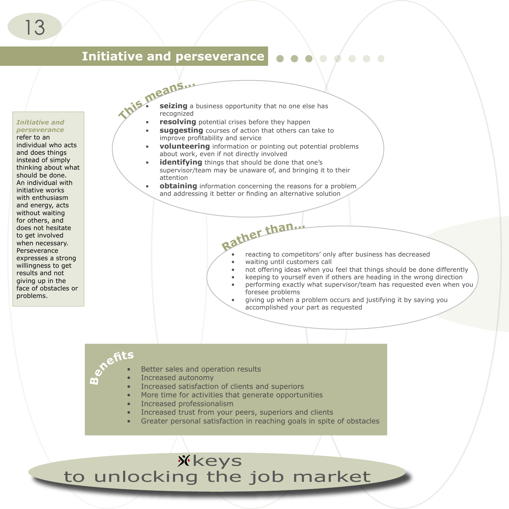#### **Initiative and perseverance**

#### *Initiative and perseverance*

#### refer to an

individual who acts and does things instead of simply thinking about what should be done. An individual with initiative works with enthusiasm and energy, acts without waiting for others, and does not hesitate to get involved when necessary. Perseverance expresses a strong willingness to get results and not giving up in the face of obstacles or problems.

- **Thi<sup>s</sup> <sup>m</sup>eans...** recognized seizing a business opportunity that no one else has
	- **resolving** potential crises before they happen
	- **suggesting** courses of action that others can take to improve profitability and service
	- **volunteering** information or pointing out potential problems about work, even if not directly involved
	- **identifying** things that should be done that one's supervisor/team may be unaware of, and bringing it to their attention
	- **obtaining** information concerning the reasons for a problem and addressing it better or finding an alternative solution
		- **Rathe<sup>r</sup> <sup>t</sup>han...** reacting to competitors' only after business has decreased
			- waiting until customers call
			- not offering ideas when you feel that things should be done differently
			- keeping to yourself even if others are heading in the wrong direction
			- performing exactly what supervisor/team has requested even when you foresee problems
			- giving up when a problem occurs and justifying it by saying you accomplished your part as requested

## **Benefit<sup>s</sup>**

- Better sales and operation results
- Increased autonomy
- Increased satisfaction of clients and superiors
- More time for activities that generate opportunities
- Increased professionalism
- Increased trust from your peers, superiors and clients
- Greater personal satisfaction in reaching goals in spite of obstacles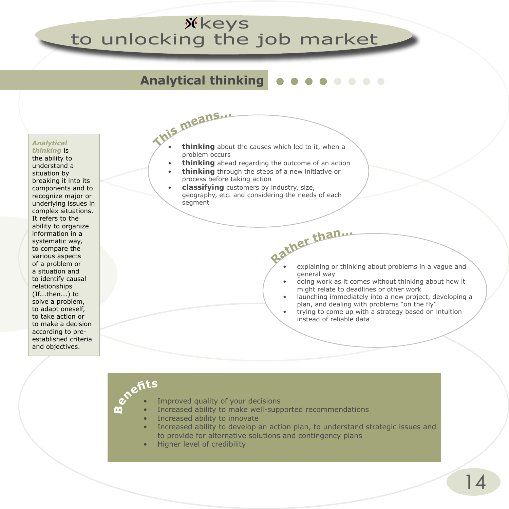## **Analytical thinking**

*Analytical thinking* is

the ability to understand a situation by breaking it into its components and to recognize major or underlying issues in complex situations. It refers to the ability to organize information in a systematic way, to compare the various aspects of a problem or a situation and to identify causal relationships (If...then...) to solve a problem, to adapt oneself, to take action or to make a decision according to preestablished criteria and objectives.

**Thi<sup>s</sup> <sup>m</sup>eans... thinking** about the causes which led to it, when a problem occurs

- **thinking** ahead regarding the outcome of an action
- **thinking** through the steps of a new initiative or process before taking action
- **classifying** customers by industry, size, geography, etc. and considering the needs of each segment

**Rathe<sup>r</sup> <sup>t</sup>han...** explaining or thinking about problems in a vague and general way

- doing work as it comes without thinking about how it might relate to deadlines or other work
- launching immediately into a new project, developing a plan, and dealing with problems "on the fly"
- trying to come up with a strategy based on intuition instead of reliable data

# **Benefit<sup>s</sup>**

- Improved quality of your decisions
- Increased ability to make well-supported recommendations
- Increased ability to innovate
- Increased ability to develop an action plan, to understand strategic issues and to provide for alternative solutions and contingency plans
- Higher level of credibility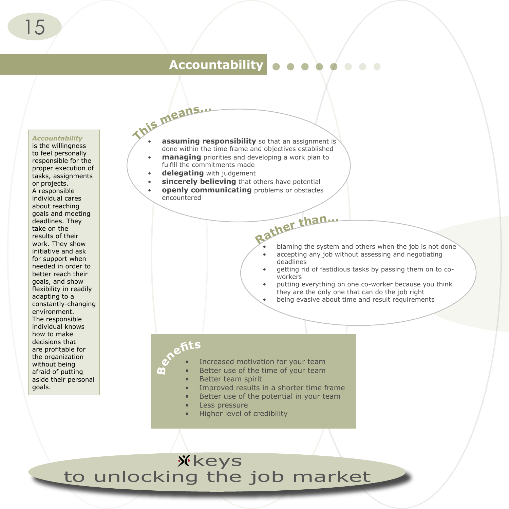## **Accountability**

#### *Accountability*

is the willingness to feel personally responsible for the proper execution of tasks, assignments or projects. A responsible individual cares about reaching goals and meeting deadlines. They take on the results of their work. They show initiative and ask for support when needed in order to better reach their goals, and show flexibility in readily adapting to a constantly-changing environment. The responsible individual knows how to make decisions that are profitable for the organization without being afraid of putting aside their personal goals.

- **Thi<sup>s</sup> <sup>m</sup>eans... assuming responsibility** so that an assignment is done within the time frame and objectives established
	- **managing** priorities and developing a work plan to fulfill the commitments made
	- **delegating** with judgement
	- **sincerely believing** that others have potential
	- **openly communicating** problems or obstacles encountered
		- **Rathe<sup>r</sup> <sup>t</sup>han...** blaming the system and others when the job is not done
			- accepting any job without assessing and negotiating deadlines
			- getting rid of fastidious tasks by passing them on to coworkers
			- putting everything on one co-worker because you think they are the only one that can do the job right
			- being evasive about time and result requirements

#### **Benefit<sup>s</sup>**

- Increased motivation for your team
	- Better use of the time of your team
	- Better team spirit
	- Improved results in a shorter time frame
	- Better use of the potential in your team
	- Less pressure
	- Higher level of credibility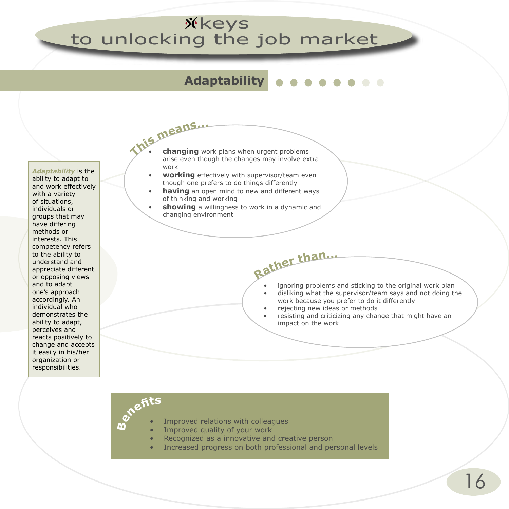## **Adaptability**

*Adaptability* is the ability to adapt to and work effectively with a variety of situations, individuals or groups that may have differing methods or interests. This competency refers to the ability to understand and appreciate different or opposing views and to adapt one's approach accordingly. An individual who demonstrates the ability to adapt, perceives and reacts positively to change and accepts it easily in his/her organization or responsibilities.

- **Thi<sup>s</sup> <sup>m</sup>eans...** • **changing** work plans when urgent problems arise even though the changes may involve extra work
	- **working** effectively with supervisor/team even though one prefers to do things differently
	- **having** an open mind to new and different ways of thinking and working
	- showing a willingness to work in a dynamic and changing environment

- ignoring problems and sticking to the original work plan
- disliking what the supervisor/team says and not doing the work because you prefer to do it differently
- rejecting new ideas or methods

**Rathe<sup>r</sup> <sup>t</sup>han...**

• resisting and criticizing any change that might have an impact on the work

# **Benefit<sup>s</sup>**

- Improved relations with colleagues
- Improved quality of your work
	- Recognized as a innovative and creative person
	- Increased progress on both professional and personal levels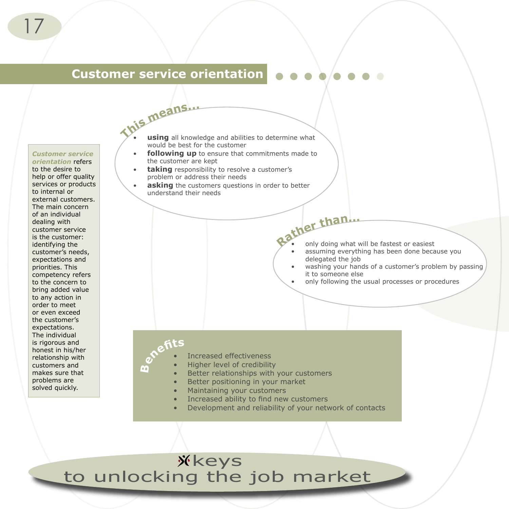## **Customer service orientation**

#### *Customer service*

*orientation* refers to the desire to help or offer quality services or products to internal or external customers. The main concern of an individual dealing with customer service is the customer: identifying the customer's needs, expectations and priorities. This competency refers to the concern to bring added value to any action in order to meet or even exceed the customer's expectations. The individual is rigorous and honest in his/her relationship with customers and makes sure that problems are solved quickly.

- **Thi<sup>s</sup> <sup>m</sup>eans... using** all knowledge and abilities to determine what would be best for the customer
	- following up to ensure that commitments made to the customer are kept
	- **taking** responsibility to resolve a customer's problem or address their needs
	- **asking** the customers questions in order to better understand their needs

## *<u><b>a***ther than**...</u>

- only doing what will be fastest or easiest
- assuming everything has been done because you delegated the job
- washing your hands of a customer's problem by passing it to someone else
- only following the usual processes or procedures

## **Benefit<sup>s</sup>**

- Increased effectiveness
- Higher level of credibility
- Better relationships with your customers
- Better positioning in your market
- Maintaining your customers
- Increased ability to find new customers
- Development and reliability of your network of contacts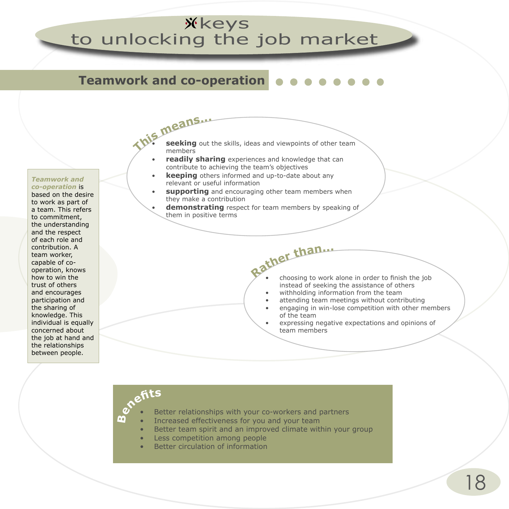## **Teamwork and co-operation**

#### *Teamwork and co-operation* is

based on the desire to work as part of a team. This refers to commitment, the understanding and the respect of each role and contribution. A team worker, capable of cooperation, knows how to win the trust of others and encourages participation and the sharing of knowledge. This individual is equally concerned about the job at hand and the relationships between people.

- **Thi<sup>s</sup> <sup>m</sup>eans... seeking** out the skills, ideas and viewpoints of other team members
	- **readily sharing** experiences and knowledge that can contribute to achieving the team's objectives
	- **keeping** others informed and up-to-date about any relevant or useful information
	- **supporting** and encouraging other team members when they make a contribution
	- **demonstrating** respect for team members by speaking of them in positive terms
		- **Rathe<sup>r</sup> <sup>t</sup>han...** • choosing to work alone in order to finish the job instead of seeking the assistance of others
			- withholding information from the team
			- attending team meetings without contributing
			- engaging in win-lose competition with other members of the team
			- expressing negative expectations and opinions of team members

# **Benefit<sup>s</sup>**

- Better relationships with your co-workers and partners
- Increased effectiveness for you and your team
- Better team spirit and an improved climate within your group
- Less competition among people
- Better circulation of information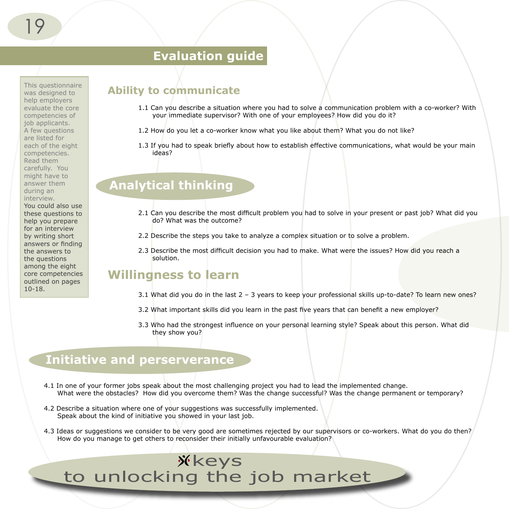## **Evaluation guide**

This questionnaire was designed to help employers evaluate the core competencies of job applicants. A few questions are listed for each of the eight competencies. Read them carefully. You might have to answer them during an interview. You could also use these questions to help you prepare for an interview by writing short answers or finding the answers to the questions among the eight core competencies outlined on pages 10-18.

#### **Ability to communicate**

- 1.1 Can you describe a situation where you had to solve a communication problem with a co-worker? With your immediate supervisor? With one of your employees? How did you do it?
- 1.2 How do you let a co-worker know what you like about them? What you do not like?
- 1.3 If you had to speak briefly about how to establish effective communications, what would be your main ideas?

## **Analytical thinking**

- 2.1 Can you describe the most difficult problem you had to solve in your present or past job? What did you do? What was the outcome?
- 2.2 Describe the steps you take to analyze a complex situation or to solve a problem.
- 2.3 Describe the most difficult decision you had to make. What were the issues? How did you reach a solution.

#### **Willingness to learn**

- 3.1 What did you do in the last 2 3 years to keep your professional skills up-to-date? To learn new ones?
- 3.2 What important skills did you learn in the past five years that can benefit a new employer?
- 3.3 Who had the strongest influence on your personal learning style? Speak about this person. What did they show you?

#### **Initiative and perserverance**

- 4.1 In one of your former jobs speak about the most challenging project you had to lead the implemented change. What were the obstacles? How did you overcome them? Was the change successful? Was the change permanent or temporary?
- 4.2 Describe a situation where one of your suggestions was successfully implemented. Speak about the kind of initiative you showed in your last job.
- 4.3 Ideas or suggestions we consider to be very good are sometimes rejected by our supervisors or co-workers. What do you do then? How do you manage to get others to reconsider their initially unfavourable evaluation?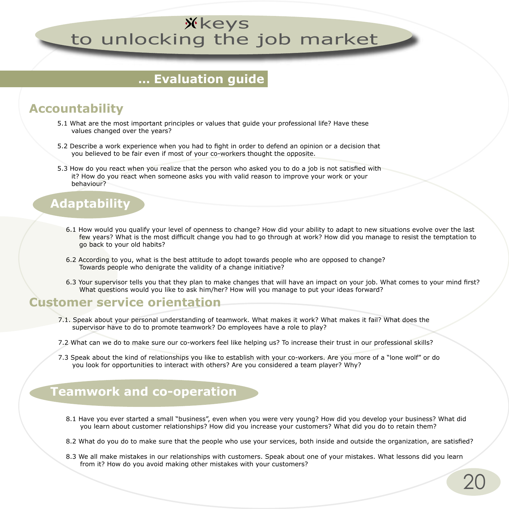## **... Evaluation guide**

## **Accountability**

- 5.1 What are the most important principles or values that guide your professional life? Have these values changed over the years?
- 5.2 Describe a work experience when you had to fight in order to defend an opinion or a decision that you believed to be fair even if most of your co-workers thought the opposite.
- 5.3 How do you react when you realize that the person who asked you to do a job is not satisfied with it? How do you react when someone asks you with valid reason to improve your work or your behaviour?

### **Adaptability**

- 6.1 How would you qualify your level of openness to change? How did your ability to adapt to new situations evolve over the last few years? What is the most difficult change you had to go through at work? How did you manage to resist the temptation to go back to your old habits?
- 6.2 According to you, what is the best attitude to adopt towards people who are opposed to change? Towards people who denigrate the validity of a change initiative?
- 6.3 Your supervisor tells you that they plan to make changes that will have an impact on your job. What comes to your mind first? What questions would you like to ask him/her? How will you manage to put your ideas forward?

#### **Customer service orientation**

- 7.1. Speak about your personal understanding of teamwork. What makes it work? What makes it fail? What does the supervisor have to do to promote teamwork? Do employees have a role to play?
- 7.2 What can we do to make sure our co-workers feel like helping us? To increase their trust in our professional skills?
- 7.3 Speak about the kind of relationships you like to establish with your co-workers. Are you more of a "lone wolf" or do you look for opportunities to interact with others? Are you considered a team player? Why?

## **Teamwork and co-operation**

- 8.1 Have you ever started a small "business", even when you were very young? How did you develop your business? What did you learn about customer relationships? How did you increase your customers? What did you do to retain them?
- 8.2 What do you do to make sure that the people who use your services, both inside and outside the organization, are satisfied?
- 8.3 We all make mistakes in our relationships with customers. Speak about one of your mistakes. What lessons did you learn from it? How do you avoid making other mistakes with your customers?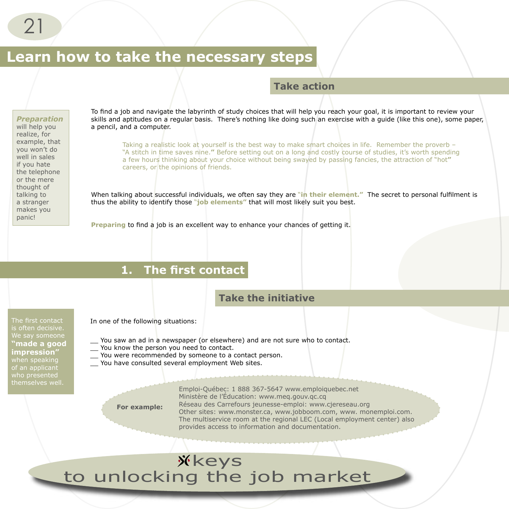## **Learn how to take the necessary steps**

#### **Take action**

#### *Preparation*

will help you realize, for example, that you won't do well in sales if you hate the telephone or the mere thought of talking to a stranger makes you panic!

To find a job and navigate the labyrinth of study choices that will help you reach your goal, it is important to review your skills and aptitudes on a regular basis. There's nothing like doing such an exercise with a quide (like this one), some paper, a pencil, and a computer.

Taking a realistic look at yourself is the best way to make smart choices in life. Remember the proverb – "A stitch in time saves nine.**"** Before setting out on a long and costly course of studies, it's worth spending a few hours thinking about your choice without being swayed by passing fancies, the attraction of "hot**"** careers, or the opinions of friends.

When talking about successful individuals, we often say they are "in their element." The secret to personal fulfilment is thus the ability to identify those "**job elements"** that will most likely suit you best.

**Preparing** to find a job is an excellent way to enhance your chances of getting it.

#### **1. The first contact**

#### **Take the initiative**

The first contact is often decisive. **"made a good impression"**  of an applicant who presented themselves well.

In one of the following situations:

- \_\_ You saw an ad in a newspaper (or elsewhere) and are not sure who to contact.
- \_\_ You know the person you need to contact.
- You were recommended by someone to a contact person.
- You have consulted several employment Web sites.

**For example:**

Emploi-Québec: 1 888 367-5647 www.emploiquebec.net Ministère de l'Éducation: www.meq.gouv.qc.cq Réseau des Carrefours jeunesse-emploi: www.cjereseau.org Other sites: www.monster.ca, www.jobboom.com, www. monemploi.com. The multiservice room at the regional LEC (Local employment center) also provides access to information and documentation.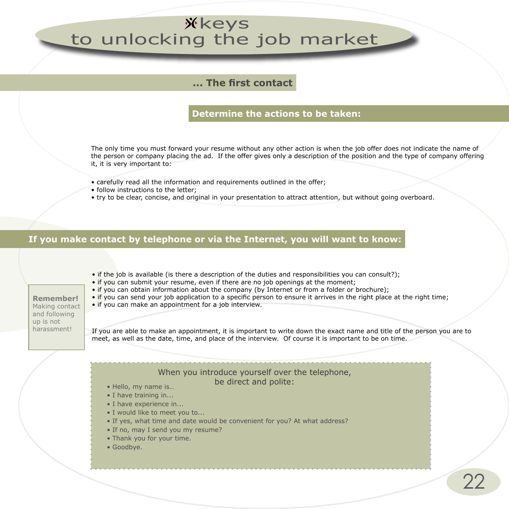#### **... The first contact**

#### **Determine the actions to be taken:**

The only time you must forward your resume without any other action is when the job offer does not indicate the name of the person or company placing the ad. If the offer gives only a description of the position and the type of company offering it, it is very important to:

- carefully read all the information and requirements outlined in the offer;
- follow instructions to the letter;
- try to be clear, concise, and original in your presentation to attract attention, but without going overboard.

#### **If you make contact by telephone or via the Internet, you will want to know:**

- if the job is available (is there a description of the duties and responsibilities you can consult?);
- if you can submit your resume, even if there are no job openings at the moment;
- if you can obtain information about the company (by Internet or from a folder or brochure);
- if you can send your job application to a specific person to ensure it arrives in the right place at the right time;

#### • if you can make an appointment for a job interview.

If you are able to make an appointment, it is important to write down the exact name and title of the person you are to meet, as well as the date, time, and place of the interview. Of course it is important to be on time.

#### When you introduce yourself over the telephone,

#### be direct and polite:

- Hello, my name is…
- I have training in...
- I have experience in...
- I would like to meet you to...
- If yes, what time and date would be convenient for you? At what address?
- If no, may I send you my resume?
- Thank you for your time.
- Goodbye.

**Remember!**  Making contact and following up is not harassment!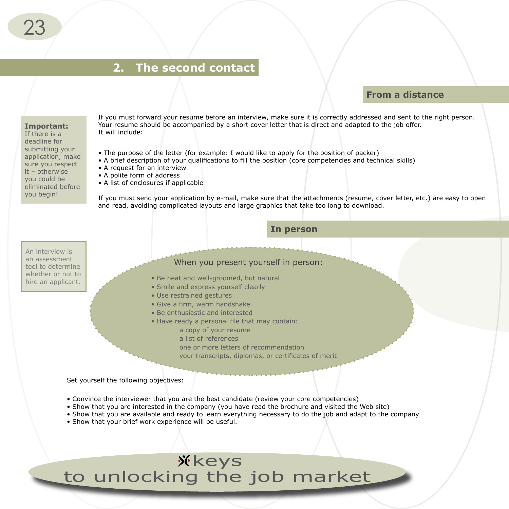### **2. The second contact**

#### **From a distance**

#### **Important:**

If there is a deadline for submitting your application, make sure you respect it – otherwise you could be eliminated before you begin!

If you must forward your resume before an interview, make sure it is correctly addressed and sent to the right person. Your resume should be accompanied by a short cover letter that is direct and adapted to the job offer. It will include:

- The purpose of the letter (for example: I would like to apply for the position of packer)
- A brief description of your qualifications to fill the position (core competencies and technical skills)
- A request for an interview
- A polite form of address
- A list of enclosures if applicable

If you must send your application by e-mail, make sure that the attachments (resume, cover letter, etc.) are easy to open and read, avoiding complicated layouts and large graphics that take too long to download.

**In person** 

An interview is an assessment tool to determine whether or not to hire an applicant.

When you present yourself in person:

- Be neat and well-groomed, but natural
- Smile and express yourself clearly
- Use restrained gestures
- Give a firm, warm handshake
- Be enthusiastic and interested
- Have ready a personal file that may contain:
	- a copy of your resume
	- a list of references
	- one or more letters of recommendation
	- your transcripts, diplomas, or certificates of merit

Set yourself the following objectives:

- Convince the interviewer that you are the best candidate (review your core competencies)
- Show that you are interested in the company (you have read the brochure and visited the Web site)
- Show that you are available and ready to learn everything necessary to do the job and adapt to the company
- Show that your brief work experience will be useful.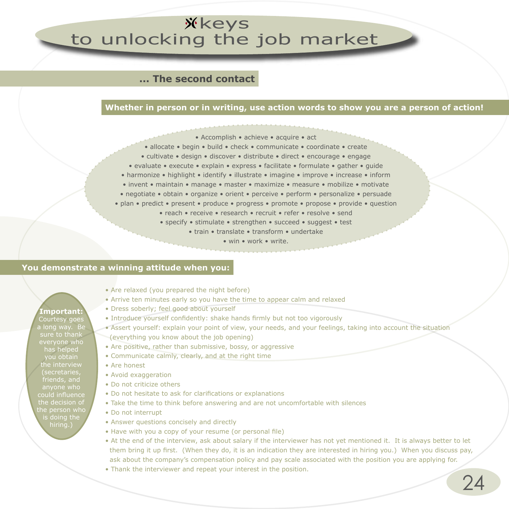#### **... The second contact**

#### **Whether in person or in writing, use action words to show you are a person of action!**

- Accomplish achieve acquire act
- allocate begin build check communicate coordinate create
- cultivate design discover distribute direct encourage engage
- evaluate execute explain express facilitate formulate gather guide
- harmonize highlight identify illustrate imagine improve increase inform
- invent maintain manage master maximize measure mobilize motivate
- negotiate obtain organize orient perceive perform personalize persuade
- plan predict present produce progress promote propose provide question
	- reach receive research recruit refer resolve send
	- specify stimulate strengthen succeed suggest test
		- train translate transform undertake
			- win work write.

#### **You demonstrate a winning attitude when you:**

- Are relaxed (you prepared the night before)
- Arrive ten minutes early so you have the time to appear calm and relaxed
- Dress soberly; feel good about yourself
- Introduce yourself confidently: shake hands firmly but not too vigorously
- Assert yourself: explain your point of view, your needs, and your feelings, taking into account the situation (everything you know about the job opening)
- Are positive, rather than submissive, bossy, or aggressive
- Communicate calmly, clearly, and at the right time
- Are honest
- Avoid exaggeration
- Do not criticize others
- Do not hesitate to ask for clarifications or explanations
- Take the time to think before answering and are not uncomfortable with silences
- Do not interrupt
- Answer questions concisely and directly
- Have with you a copy of your resume (or personal file)
- At the end of the interview, ask about salary if the interviewer has not yet mentioned it. It is always better to let them bring it up first. (When they do, it is an indication they are interested in hiring you.) When you discuss pay, ask about the company's compensation policy and pay scale associated with the position you are applying for.
- Thank the interviewer and repeat your interest in the position.

Courtesy goes long way. Be sure to thank everyone who has helped you obtain the interview *secretarie* friends, and could influence the decision of the person who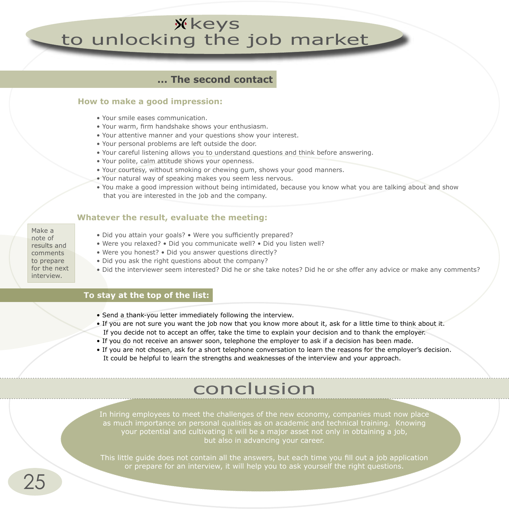#### **... The second contact**

#### **How to make a good impression:**

- Your smile eases communication.
- Your warm, firm handshake shows your enthusiasm.
- Your attentive manner and your questions show your interest.
- Your personal problems are left outside the door.
- Your careful listening allows you to understand questions and think before answering.
- Your polite, calm attitude shows your openness.
- Your courtesy, without smoking or chewing gum, shows your good manners.
- Your natural way of speaking makes you seem less nervous.
- You make a good impression without being intimidated, because you know what you are talking about and show that you are interested in the job and the company.

#### **Whatever the result, evaluate the meeting:**

- Make a note of results and comments to prepare for the next interview.
- Did you attain your goals? Were you sufficiently prepared?
- Were you relaxed? Did you communicate well? Did you listen well?
- Were you honest? Did you answer questions directly?
- Did you ask the right questions about the company?
- Did the interviewer seem interested? Did he or she take notes? Did he or she offer any advice or make any comments?

#### **To stay at the top of the list:**

- Send a thank-you letter immediately following the interview.
- If you are not sure you want the job now that you know more about it, ask for a little time to think about it. If you decide not to accept an offer, take the time to explain your decision and to thank the employer.
- If you do not receive an answer soon, telephone the employer to ask if a decision has been made.
- If you are not chosen, ask for a short telephone conversation to learn the reasons for the employer's decision. It could be helpful to learn the strengths and weaknesses of the interview and your approach.

## conclusion

In hiring employees to meet the challenges of the new economy, companies must now place as much importance on personal qualities as on academic and technical training. Knowing your potential and cultivating it will be a major asset not only in obtaining a job, but also in advancing your career.

This little guide does not contain all the answers, but each time you fill out a job application or prepare for an interview, it will help you to ask yourself the right questions.